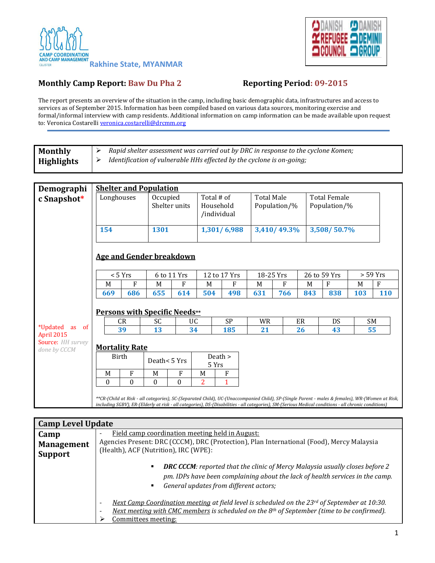



## **Monthly Camp Report: Baw Du Pha 2 Reporting Period: 09-2015**

The report presents an overview of the situation in the camp, including basic demographic data, infrastructures and access to services as of September 2015. Information has been compiled based on various data sources, monitoring exercise and formal/informal interview with camp residents. Additional information on camp information can be made available upon request to: Veronica Costarelli [veronica.costarelli@drcmm.org](mailto:veronica.costarelli@drcmm.org)

| <b>Monthly</b>                    | Rapid shelter assessment was carried out by DRC in response to the cyclone Komen;<br>➤ |                                 |                           |              |                |                                                                                                                                                                                                                                                                                                         |     |                                   |     |                                     |           |            |  |
|-----------------------------------|----------------------------------------------------------------------------------------|---------------------------------|---------------------------|--------------|----------------|---------------------------------------------------------------------------------------------------------------------------------------------------------------------------------------------------------------------------------------------------------------------------------------------------------|-----|-----------------------------------|-----|-------------------------------------|-----------|------------|--|
| <b>Highlights</b>                 | Identification of vulnerable HHs effected by the cyclone is on-going;<br>≻             |                                 |                           |              |                |                                                                                                                                                                                                                                                                                                         |     |                                   |     |                                     |           |            |  |
|                                   |                                                                                        |                                 |                           |              |                |                                                                                                                                                                                                                                                                                                         |     |                                   |     |                                     |           |            |  |
| Demographi                        | <b>Shelter and Population</b>                                                          |                                 |                           |              |                |                                                                                                                                                                                                                                                                                                         |     |                                   |     |                                     |           |            |  |
| c Snapshot*                       | Longhouses                                                                             |                                 | Occupied<br>Shelter units |              |                | Total # of<br>Household<br>/individual                                                                                                                                                                                                                                                                  |     | <b>Total Male</b><br>Population/% |     | <b>Total Female</b><br>Population/% |           |            |  |
|                                   | 154                                                                                    |                                 | 1301                      |              |                | 1,301/6,988                                                                                                                                                                                                                                                                                             |     | 3,410/49.3%                       |     | 3,508/50.7%                         |           |            |  |
|                                   |                                                                                        | <b>Age and Gender breakdown</b> |                           |              |                |                                                                                                                                                                                                                                                                                                         |     |                                   |     |                                     |           |            |  |
|                                   | < 5 Yrs                                                                                |                                 | 6 to 11 Yrs               |              |                | 12 to 17 Yrs                                                                                                                                                                                                                                                                                            |     | 18-25 Yrs                         |     | 26 to 59 Yrs                        |           | $>$ 59 Yrs |  |
|                                   | M                                                                                      | $\mathbf{F}$                    | M                         | F            | M              | F                                                                                                                                                                                                                                                                                                       | M   | F                                 | M   | F                                   | M         | F          |  |
|                                   | 669                                                                                    | 686                             | 655                       | 614          | 504            | 498                                                                                                                                                                                                                                                                                                     | 631 | 766                               | 843 | 838                                 | 103       | <b>110</b> |  |
|                                   | <b>Persons with Specific Needs**</b>                                                   |                                 |                           |              |                |                                                                                                                                                                                                                                                                                                         |     |                                   |     |                                     |           |            |  |
|                                   |                                                                                        | CR                              | <b>SC</b>                 |              | <b>UC</b>      | <b>SP</b>                                                                                                                                                                                                                                                                                               | WR  |                                   | ER  | DS.                                 | <b>SM</b> |            |  |
| *Updated<br>as of<br>April 2015   |                                                                                        | 39                              | 13                        |              | 34             | 185                                                                                                                                                                                                                                                                                                     | 21  |                                   | 26  | 43                                  |           | 55         |  |
| Source: HH survey<br>done by CCCM | <b>Mortality Rate</b>                                                                  |                                 |                           |              |                |                                                                                                                                                                                                                                                                                                         |     |                                   |     |                                     |           |            |  |
|                                   | <b>Birth</b>                                                                           |                                 | Death< 5 Yrs              |              |                | Death ><br>5 Yrs                                                                                                                                                                                                                                                                                        |     |                                   |     |                                     |           |            |  |
|                                   | M                                                                                      | F                               | M                         | F            | M              | F                                                                                                                                                                                                                                                                                                       |     |                                   |     |                                     |           |            |  |
|                                   | $\theta$                                                                               | $\theta$                        | $\mathbf{0}$              | $\mathbf{0}$ | $\overline{2}$ | 1                                                                                                                                                                                                                                                                                                       |     |                                   |     |                                     |           |            |  |
|                                   |                                                                                        |                                 |                           |              |                | **CR-(Child at Risk - all categories), SC-(Separated Child), UC-(Unaccompanied Child), SP-(Single Parent - males & females), WR-(Women at Risk,<br>including SGBV), ER-(Elderly at risk - all categories), DS-(Disabilities - all categories), SM-(Serious Medical conditions - all chronic conditions) |     |                                   |     |                                     |           |            |  |

| <b>Camp Level Update</b> |                                                                                                                                                                                                                           |  |  |  |  |  |
|--------------------------|---------------------------------------------------------------------------------------------------------------------------------------------------------------------------------------------------------------------------|--|--|--|--|--|
| Camp                     | Field camp coordination meeting held in August:<br>٠                                                                                                                                                                      |  |  |  |  |  |
| <b>Management</b>        | Agencies Present: DRC (CCCM), DRC (Protection), Plan International (Food), Mercy Malaysia                                                                                                                                 |  |  |  |  |  |
| <b>Support</b>           | (Health), ACF (Nutrition), IRC (WPE):                                                                                                                                                                                     |  |  |  |  |  |
|                          | <b>DRC CCCM</b> : reported that the clinic of Mercy Malaysia usually closes before 2<br>٠<br>pm. IDPs have been complaining about the lack of health services in the camp.<br>General updates from different actors;<br>٠ |  |  |  |  |  |
|                          | Next Camp Coordination meeting at field level is scheduled on the $23^{rd}$ of September at 10:30.<br>٠<br>Next meeting with CMC members is scheduled on the $8th$ of September (time to be confirmed).<br>٠              |  |  |  |  |  |
|                          | Committees meeting:                                                                                                                                                                                                       |  |  |  |  |  |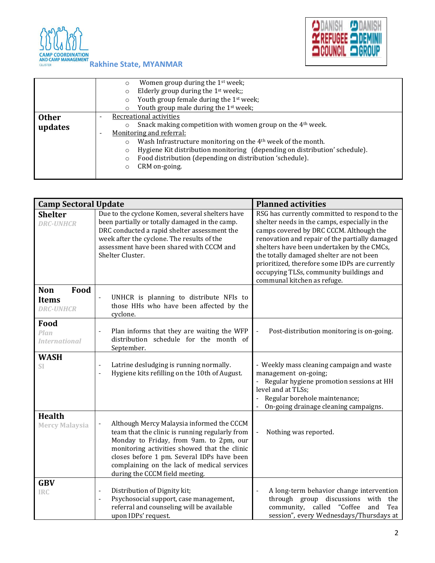



|              |                          | Women group during the 1 <sup>st</sup> week;<br>$\circ$                               |  |  |  |  |  |
|--------------|--------------------------|---------------------------------------------------------------------------------------|--|--|--|--|--|
|              |                          | Elderly group during the 1 <sup>st</sup> week;;                                       |  |  |  |  |  |
|              |                          | Youth group female during the 1 <sup>st</sup> week;<br>$\circ$                        |  |  |  |  |  |
|              |                          | Youth group male during the 1 <sup>st</sup> week;                                     |  |  |  |  |  |
| <b>Other</b> | $\overline{\phantom{a}}$ | Recreational activities                                                               |  |  |  |  |  |
| updates      |                          | Snack making competition with women group on the 4 <sup>th</sup> week.                |  |  |  |  |  |
|              | ٠                        | Monitoring and referral:                                                              |  |  |  |  |  |
|              |                          | Wash Infrastructure monitoring on the 4 <sup>th</sup> week of the month.<br>$\circ$   |  |  |  |  |  |
|              |                          | Hygiene Kit distribution monitoring (depending on distribution' schedule).<br>$\circ$ |  |  |  |  |  |
|              |                          | Food distribution (depending on distribution 'schedule).                              |  |  |  |  |  |
|              |                          | CRM on-going.                                                                         |  |  |  |  |  |
|              |                          |                                                                                       |  |  |  |  |  |

| <b>Camp Sectoral Update</b>                            |                                                                                                                                                                                                                                                                                                                       | <b>Planned activities</b>                                                                                                                                                                                                                                                                                                                                                                                         |  |  |  |
|--------------------------------------------------------|-----------------------------------------------------------------------------------------------------------------------------------------------------------------------------------------------------------------------------------------------------------------------------------------------------------------------|-------------------------------------------------------------------------------------------------------------------------------------------------------------------------------------------------------------------------------------------------------------------------------------------------------------------------------------------------------------------------------------------------------------------|--|--|--|
| <b>Shelter</b><br><b>DRC-UNHCR</b>                     | Due to the cyclone Komen, several shelters have<br>been partially or totally damaged in the camp.<br>DRC conducted a rapid shelter assessment the<br>week after the cyclone. The results of the<br>assessment have been shared with CCCM and<br>Shelter Cluster.                                                      | RSG has currently committed to respond to the<br>shelter needs in the camps, especially in the<br>camps covered by DRC CCCM. Although the<br>renovation and repair of the partially damaged<br>shelters have been undertaken by the CMCs,<br>the totally damaged shelter are not been<br>prioritized, therefore some IDPs are currently<br>occupying TLSs, community buildings and<br>communal kitchen as refuge. |  |  |  |
| Food<br><b>Non</b><br><b>Items</b><br><b>DRC-UNHCR</b> | UNHCR is planning to distribute NFIs to<br>$\frac{1}{2}$<br>those HHs who have been affected by the<br>cyclone.                                                                                                                                                                                                       |                                                                                                                                                                                                                                                                                                                                                                                                                   |  |  |  |
| Food<br>Plan<br><b>International</b>                   | Plan informs that they are waiting the WFP<br>distribution schedule for the month of<br>September.                                                                                                                                                                                                                    | Post-distribution monitoring is on-going.<br>$\frac{1}{2}$                                                                                                                                                                                                                                                                                                                                                        |  |  |  |
| <b>WASH</b><br>SI                                      | Latrine desludging is running normally.<br>Hygiene kits refilling on the 10th of August.                                                                                                                                                                                                                              | - Weekly mass cleaning campaign and waste<br>management on-going;<br>Regular hygiene promotion sessions at HH<br>level and at TLSs;<br>Regular borehole maintenance;<br>On-going drainage cleaning campaigns.                                                                                                                                                                                                     |  |  |  |
| <b>Health</b><br><b>Mercy Malaysia</b>                 | Although Mercy Malaysia informed the CCCM<br>team that the clinic is running regularly from<br>Monday to Friday, from 9am. to 2pm, our<br>monitoring activities showed that the clinic<br>closes before 1 pm. Several IDPs have been<br>complaining on the lack of medical services<br>during the CCCM field meeting. | Nothing was reported.<br>$\blacksquare$                                                                                                                                                                                                                                                                                                                                                                           |  |  |  |
| <b>GBV</b><br><b>IRC</b>                               | Distribution of Dignity kit;<br>$\qquad \qquad \blacksquare$<br>Psychosocial support, case management,<br>$\frac{1}{2}$<br>referral and counseling will be available<br>upon IDPs' request.                                                                                                                           | A long-term behavior change intervention<br>$\overline{\phantom{a}}$<br>through group discussions<br>with<br>the<br>called "Coffee<br>community,<br>and<br>Tea<br>session", every Wednesdays/Thursdays at                                                                                                                                                                                                         |  |  |  |